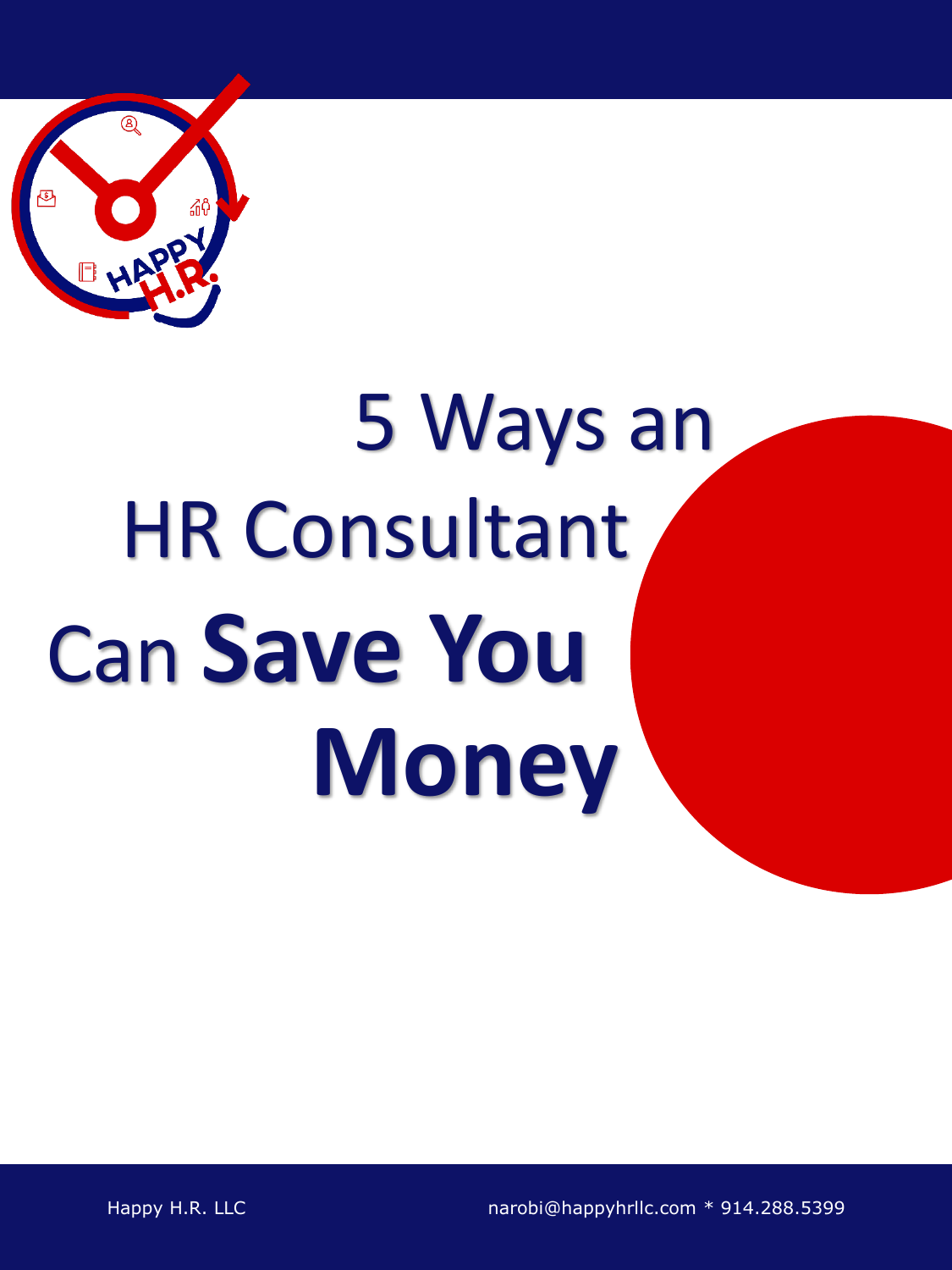

## 5 Ways an HR Consultant Can **Save You Money**

Happy H.R. LLC narobi@happyhrllc.com \* 914.288.5399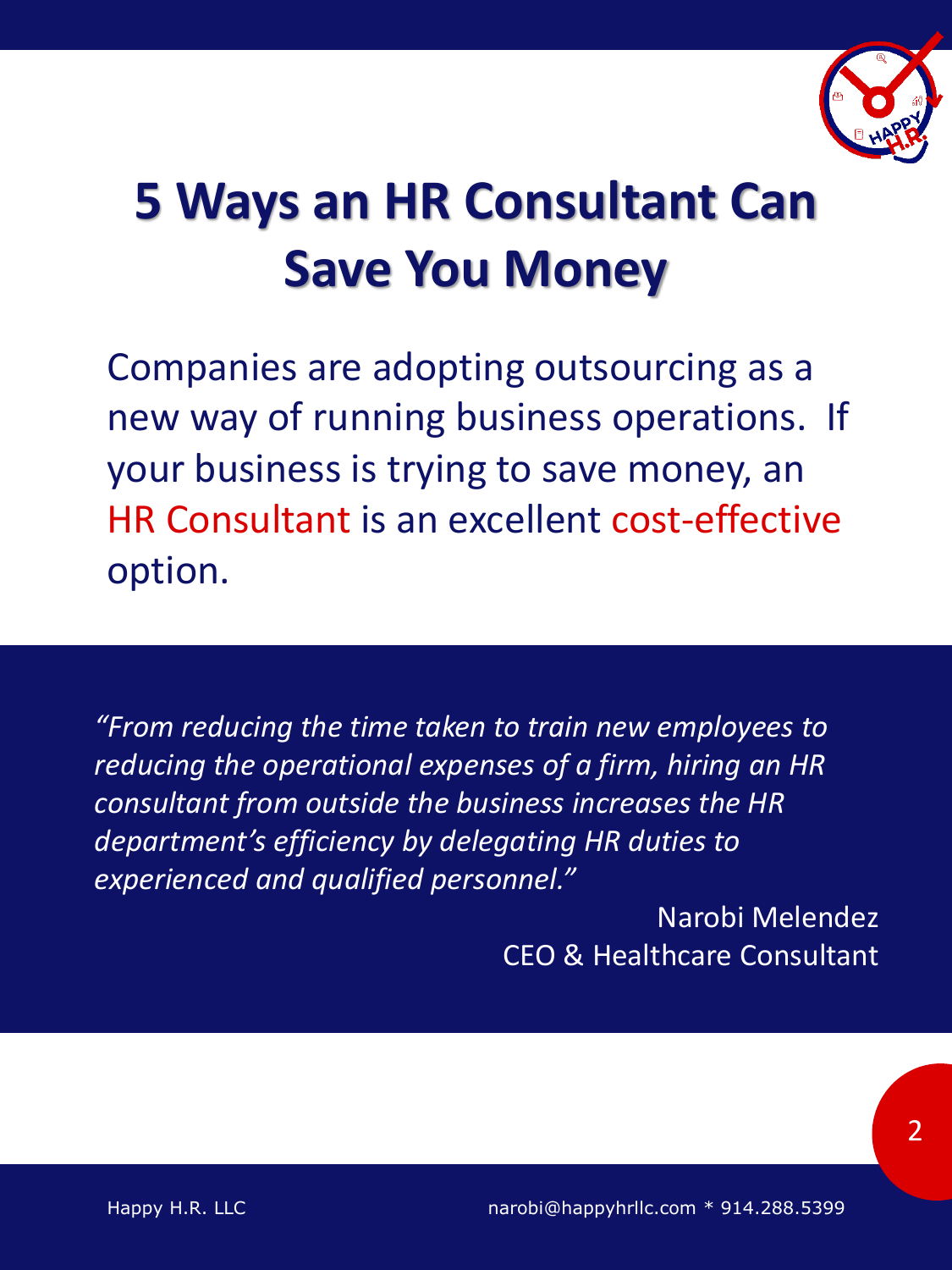

## **5 Ways an HR Consultant Can Save You Money**

Companies are adopting outsourcing as a new way of running business operations. If your business is trying to save money, an HR Consultant is an excellent cost-effective option.

*"From reducing the time taken to train new employees to reducing the operational expenses of a firm, hiring an HR consultant from outside the business increases the HR department's efficiency by delegating HR duties to experienced and qualified personnel."*

> Narobi Melendez CEO & Healthcare Consultant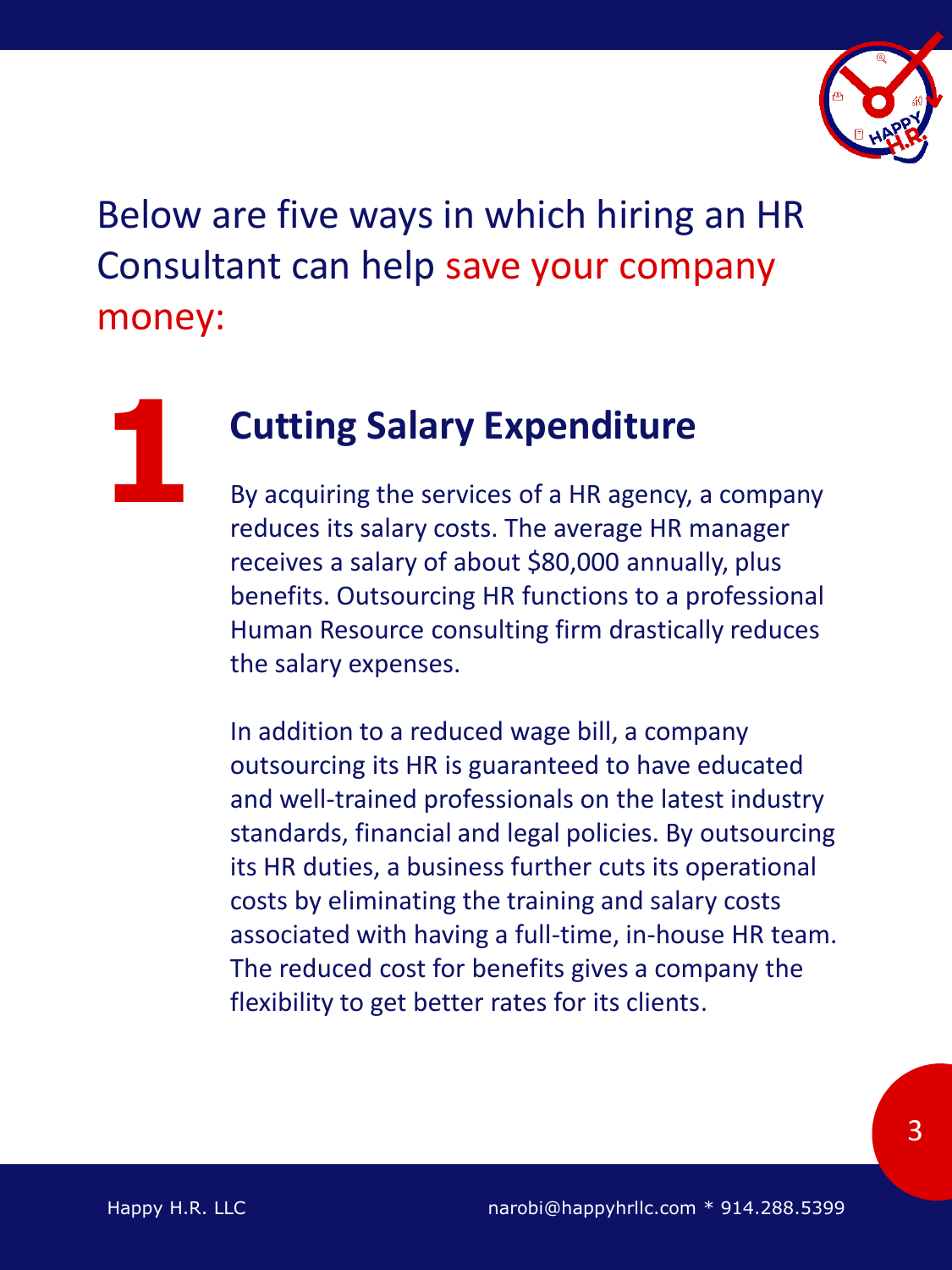

Below are five ways in which hiring an HR Consultant can help save your company money:

**1**

#### **Cutting Salary Expenditure**

By acquiring the services of a HR agency, a company reduces its salary costs. The average HR manager receives a salary of about \$80,000 annually, plus benefits. Outsourcing HR functions to a professional Human Resource consulting firm drastically reduces the salary expenses.

In addition to a reduced wage bill, a company outsourcing its HR is guaranteed to have educated and well-trained professionals on the latest industry standards, financial and legal policies. By outsourcing its HR duties, a business further cuts its operational costs by eliminating the training and salary costs associated with having a full-time, in-house HR team. The reduced cost for benefits gives a company the flexibility to get better rates for its clients.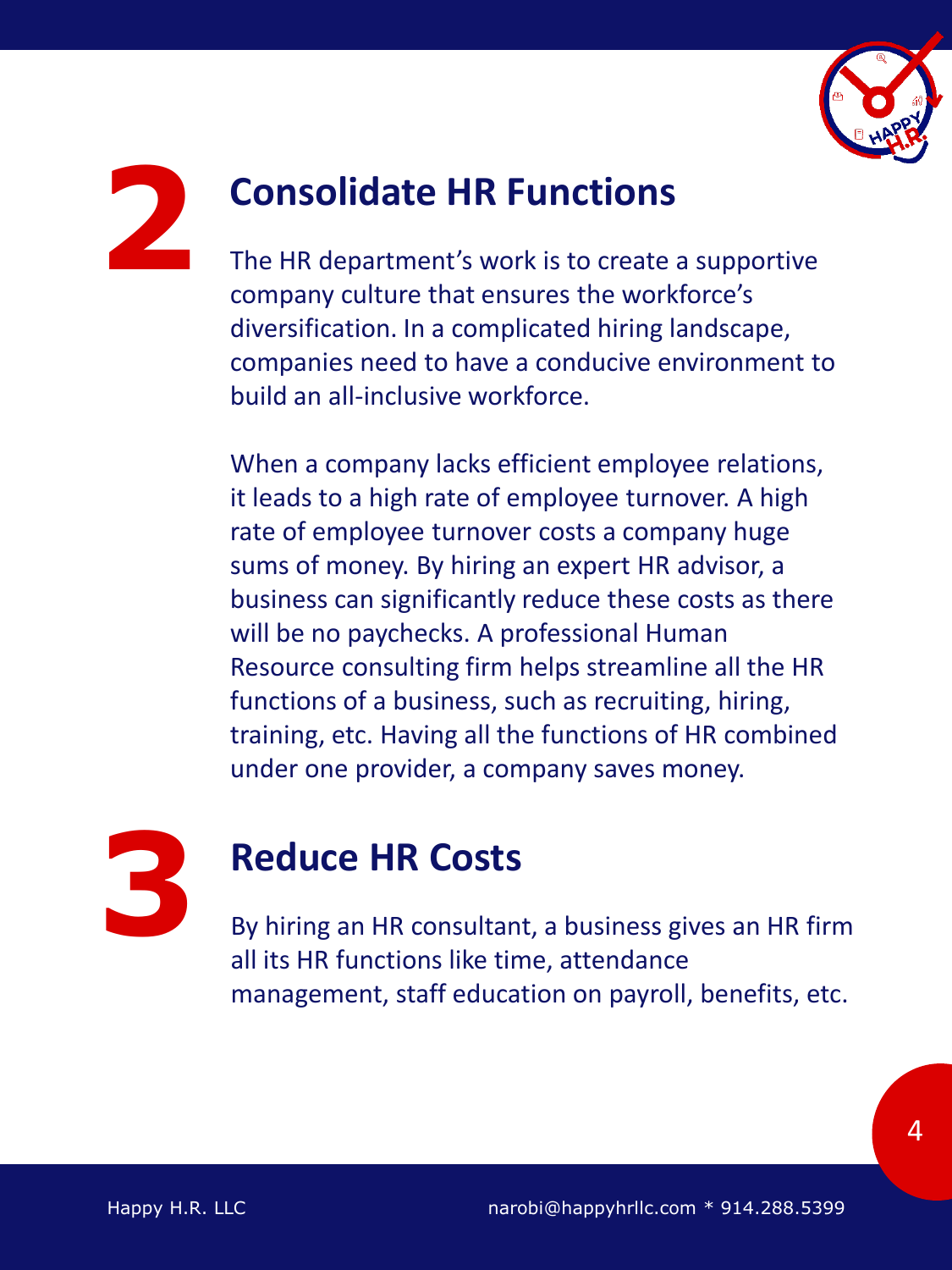

## **2 Consolidate HR Functions**

The HR department's work is to create a supportive company culture that ensures the workforce's diversification. In a complicated hiring landscape, companies need to have a conducive environment to build an all-inclusive workforce.

When a company lacks efficient employee relations, it leads to a high rate of employee turnover. A high rate of employee turnover costs a company huge sums of money. By hiring an expert HR advisor, a business can significantly reduce these costs as there will be no paychecks. A professional Human Resource consulting firm helps streamline all the HR functions of a business, such as recruiting, hiring, training, etc. Having all the functions of HR combined under one provider, a company saves money.



#### **Reduce HR Costs**

By hiring an HR consultant, a business gives an HR firm all its HR functions like time, attendance management, staff education on payroll, benefits, etc.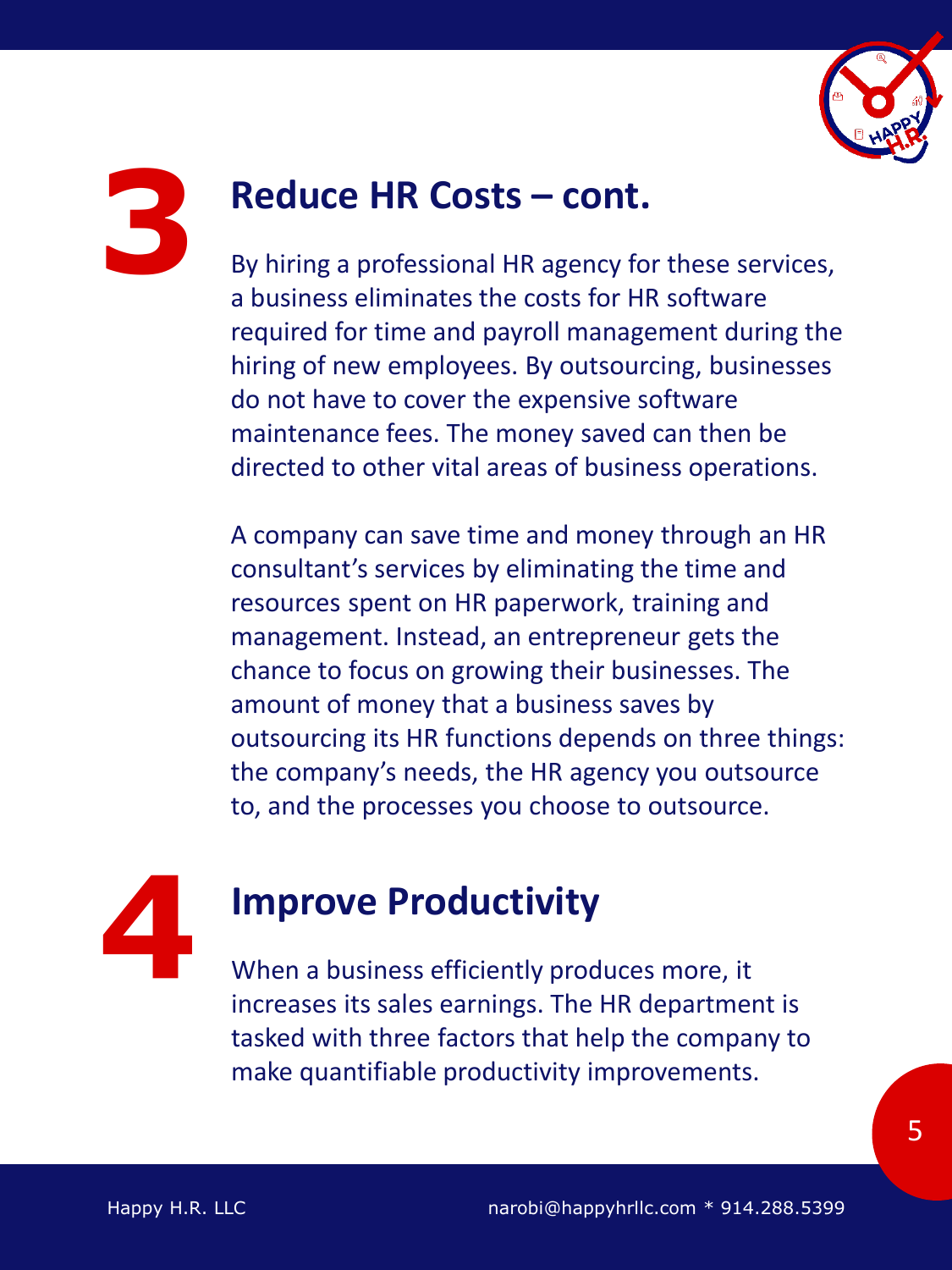

# **3**

#### **Reduce HR Costs – cont.**

By hiring a professional HR agency for these services, a business eliminates the costs for HR software required for time and payroll management during the hiring of new employees. By outsourcing, businesses do not have to cover the expensive software maintenance fees. The money saved can then be directed to other vital areas of business operations.

A company can save time and money through an HR consultant's services by eliminating the time and resources spent on HR paperwork, training and management. Instead, an entrepreneur gets the chance to focus on growing their businesses. The amount of money that a business saves by outsourcing its HR functions depends on three things: the company's needs, the HR agency you outsource to, and the processes you choose to outsource.

## **4 Improve Productivity**

When a business efficiently produces more, it increases its sales earnings. The HR department is tasked with three factors that help the company to make quantifiable productivity improvements.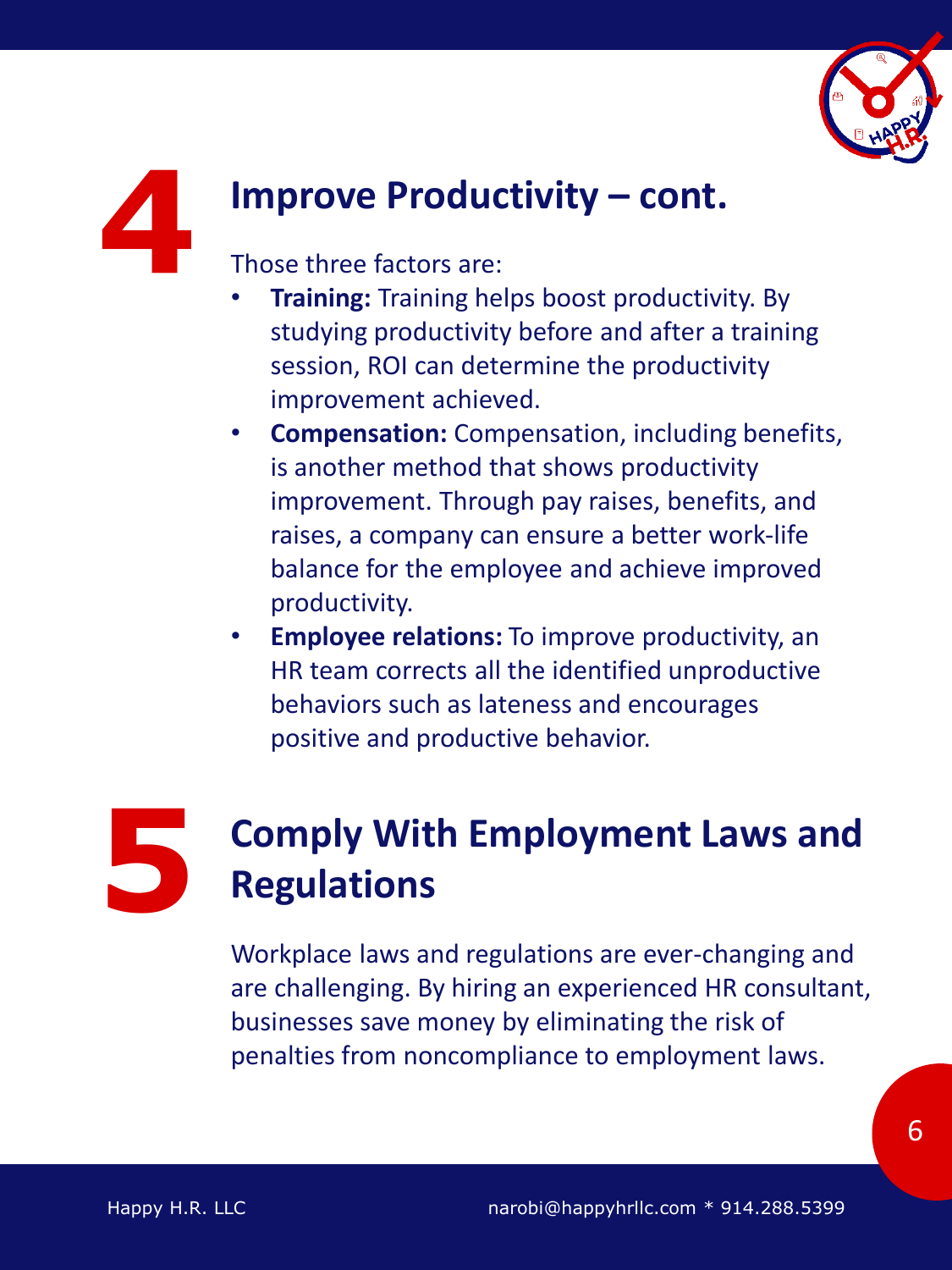

## **4 Improve Productivity – cont.**

#### Those three factors are:

- **Training:** Training helps boost productivity. By studying productivity before and after a training session, ROI can determine the productivity improvement achieved.
- **Compensation:** Compensation, including benefits, is another method that shows productivity improvement. Through pay raises, benefits, and raises, a company can ensure a better work-life balance for the employee and achieve improved productivity.
- **Employee relations:** To improve productivity, an HR team corrects all the identified unproductive behaviors such as lateness and encourages positive and productive behavior.

## **5 Comply With Employment Laws and Regulations**

Workplace laws and regulations are ever-changing and are challenging. By hiring an experienced HR consultant, businesses save money by eliminating the risk of penalties from noncompliance to employment laws.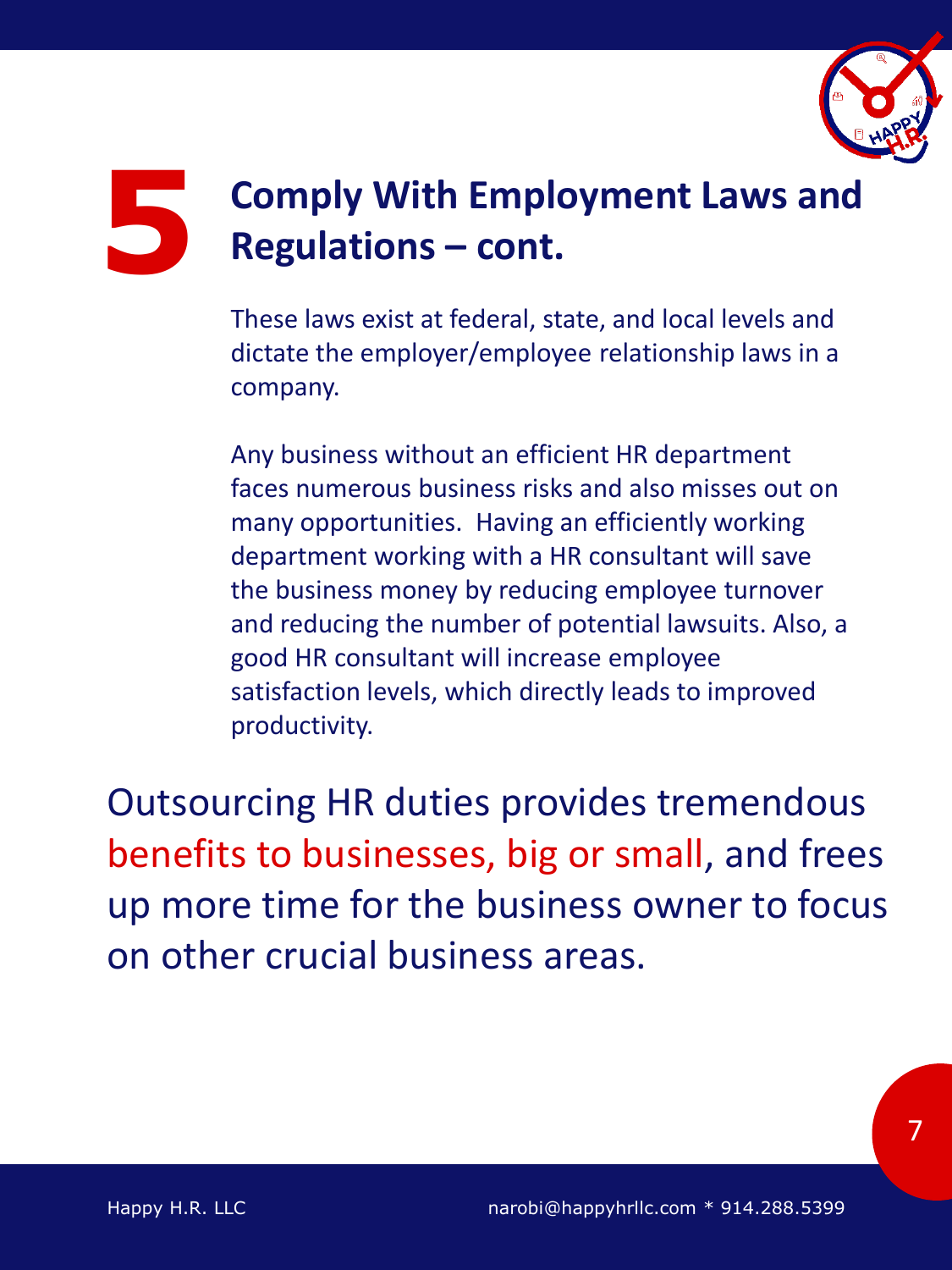

## **5 Comply With Employment Laws and Regulations – cont.**

These laws exist at federal, state, and local levels and dictate the employer/employee relationship laws in a company.

Any business without an efficient HR department faces numerous business risks and also misses out on many opportunities. Having an efficiently working department working with a HR consultant will save the business money by reducing employee turnover and reducing the number of potential lawsuits. Also, a good HR consultant will increase employee satisfaction levels, which directly leads to improved productivity.

Outsourcing HR duties provides tremendous benefits to businesses, big or small, and frees up more time for the business owner to focus on other crucial business areas.